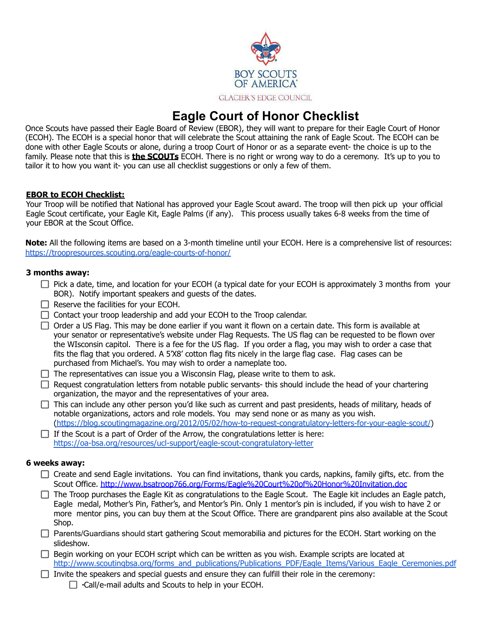

# **Eagle Court of Honor Checklist**

Once Scouts have passed their Eagle Board of Review (EBOR), they will want to prepare for their Eagle Court of Honor (ECOH). The ECOH is a special honor that will celebrate the Scout attaining the rank of Eagle Scout. The ECOH can be done with other Eagle Scouts or alone, during a troop Court of Honor or as a separate event- the choice is up to the family. Please note that this is **the SCOUTs** ECOH. There is no right or wrong way to do a ceremony. It's up to you to tailor it to how you want it- you can use all checklist suggestions or only a few of them.

#### **EBOR to ECOH Checklist:**

Your Troop will be notified that National has approved your Eagle Scout award. The troop will then pick up your official Eagle Scout certificate, your Eagle Kit, Eagle Palms (if any). This process usually takes 6-8 weeks from the time of your EBOR at the Scout Office.

**Note:** All the following items are based on a 3-month timeline until your ECOH. Here is a comprehensive list of resources: <https://troopresources.scouting.org/eagle-courts-of-honor/>

#### **3 months away:**

- $\Box$  Pick a date, time, and location for your ECOH (a typical date for your ECOH is approximately 3 months from your BOR). Notify important speakers and guests of the dates.
- $\Box$  Reserve the facilities for your ECOH.
- $\Box$  Contact your troop leadership and add your ECOH to the Troop calendar.

 $\Box$  Order a US Flag. This may be done earlier if you want it flown on a certain date. This form is available at your senator or representative's website under Flag Requests. The US flag can be requested to be flown over the WIsconsin capitol. There is a fee for the US flag. If you order a flag, you may wish to order a case that fits the flag that you ordered. A 5'X8' cotton flag fits nicely in the large flag case. Flag cases can be purchased from Michael's. You may wish to order a nameplate too.

- $\Box$  The representatives can issue you a Wisconsin Flag, please write to them to ask.
- $\Box$  Request congratulation letters from notable public servants- this should include the head of your chartering organization, the mayor and the representatives of your area.
- $\Box$  This can include any other person you'd like such as current and past presidents, heads of military, heads of notable organizations, actors and role models. You may send none or as many as you wish. [\(https://blog.scoutingmagazine.org/2012/05/02/how-to-request-congratulatory-letters-for-your-eagle-scout/](https://blog.scoutingmagazine.org/2012/05/02/how-to-request-congratulatory-letters-for-your-eagle-scout/))
- $\Box$  If the Scout is a part of Order of the Arrow, the congratulations letter is here: <https://oa-bsa.org/resources/ucl-support/eagle-scout-congratulatory-letter>

#### **6 weeks away:**

- $\Box$  Create and send Eagle invitations. You can find invitations, thank you cards, napkins, family gifts, etc. from the Scout Office. http://www.bsatroop766.org/Forms/Eagle%20Court%20of%20Honor%20Invitation.doc
- $\Box$  The Troop purchases the Eagle Kit as congratulations to the Eagle Scout. The Eagle kit includes an Eagle patch, Eagle medal, Mother's Pin, Father's, and Mentor's Pin. Only 1 mentor's pin is included, if you wish to have 2 or more mentor pins, you can buy them at the Scout Office. There are grandparent pins also available at the Scout Shop.
- $\Box$  Parents/Guardians should start gathering Scout memorabilia and pictures for the ECOH. Start working on the slideshow.
- $\Box$  Begin working on your ECOH script which can be written as you wish. Example scripts are located at [http://www.scoutingbsa.org/forms\\_and\\_publications/Publications\\_PDF/Eagle\\_Items/Various\\_Eagle\\_Ceremonies.pdf](http://www.scoutingbsa.org/forms_and_publications/Publications_PDF/Eagle_Items/Various_Eagle_Ceremonies.pdf)
- $\Box$  Invite the speakers and special quests and ensure they can fulfill their role in the ceremony:
	- ∙Call/e-mail adults and Scouts to help in your ECOH.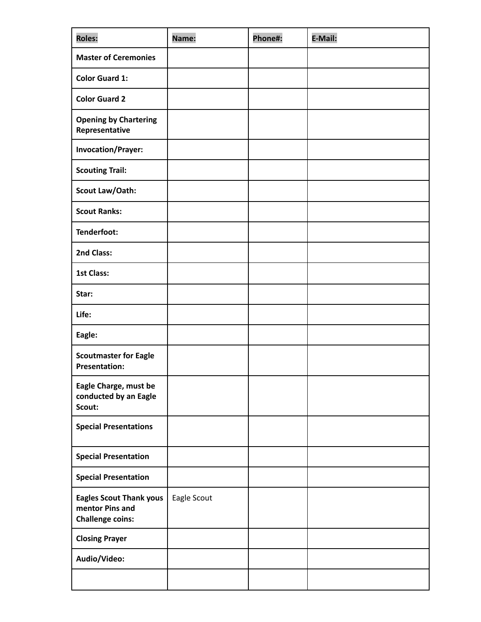| <b>Roles:</b>                                                                | Name:       | Phone#: | E-Mail: |
|------------------------------------------------------------------------------|-------------|---------|---------|
| <b>Master of Ceremonies</b>                                                  |             |         |         |
| <b>Color Guard 1:</b>                                                        |             |         |         |
| <b>Color Guard 2</b>                                                         |             |         |         |
| <b>Opening by Chartering</b><br>Representative                               |             |         |         |
| <b>Invocation/Prayer:</b>                                                    |             |         |         |
| <b>Scouting Trail:</b>                                                       |             |         |         |
| <b>Scout Law/Oath:</b>                                                       |             |         |         |
| <b>Scout Ranks:</b>                                                          |             |         |         |
| Tenderfoot:                                                                  |             |         |         |
| 2nd Class:                                                                   |             |         |         |
| <b>1st Class:</b>                                                            |             |         |         |
| Star:                                                                        |             |         |         |
| Life:                                                                        |             |         |         |
| Eagle:                                                                       |             |         |         |
| <b>Scoutmaster for Eagle</b><br><b>Presentation:</b>                         |             |         |         |
| Eagle Charge, must be<br>conducted by an Eagle<br>Scout:                     |             |         |         |
| <b>Special Presentations</b>                                                 |             |         |         |
| <b>Special Presentation</b>                                                  |             |         |         |
| <b>Special Presentation</b>                                                  |             |         |         |
| <b>Eagles Scout Thank yous</b><br>mentor Pins and<br><b>Challenge coins:</b> | Eagle Scout |         |         |
| <b>Closing Prayer</b>                                                        |             |         |         |
| Audio/Video:                                                                 |             |         |         |
|                                                                              |             |         |         |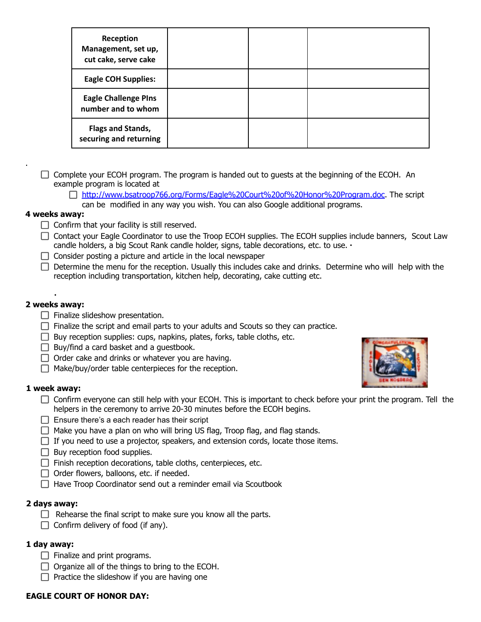| Reception<br>Management, set up,<br>cut cake, serve cake |  |  |
|----------------------------------------------------------|--|--|
| <b>Eagle COH Supplies:</b>                               |  |  |
| <b>Eagle Challenge Pins</b><br>number and to whom        |  |  |
| <b>Flags and Stands,</b><br>securing and returning       |  |  |

 $\Box$  Complete your ECOH program. The program is handed out to quests at the beginning of the ECOH. An example program is located at

□ http://www.bsatroop766.org/Forms/Eagle%20Court%20of%20Honor%20Program.doc. The script can be modified in any way you wish. You can also Google additional programs.

#### **4 weeks away:**

.

- $\Box$  Confirm that your facility is still reserved.
- Contact your Eagle Coordinator to use the Troop ECOH supplies. The ECOH supplies include banners, Scout Law candle holders, a big Scout Rank candle holder, signs, table decorations, etc. to use. ∙
- $\Box$  Consider posting a picture and article in the local newspaper
- $\Box$  Determine the menu for the reception. Usually this includes cake and drinks. Determine who will help with the reception including transportation, kitchen help, decorating, cake cutting etc.

#### ∙ **2 weeks away:**

- $\Box$  Finalize slideshow presentation.
- $\Box$  Finalize the script and email parts to your adults and Scouts so they can practice.
- $\Box$  Buy reception supplies: cups, napkins, plates, forks, table cloths, etc.
- $\Box$  Buy/find a card basket and a questbook.
- $\Box$  Order cake and drinks or whatever you are having.
- $\Box$  Make/buy/order table centerpieces for the reception.

### **1 week away:**

- $\Box$  Confirm everyone can still help with your ECOH. This is important to check before your print the program. Tell the helpers in the ceremony to arrive 20-30 minutes before the ECOH begins.
- $\Box$  Ensure there's a each reader has their script
- $\Box$  Make you have a plan on who will bring US flag, Troop flag, and flag stands.
- $\Box$  If you need to use a projector, speakers, and extension cords, locate those items.
- $\Box$  Buy reception food supplies.
- $\Box$  Finish reception decorations, table cloths, centerpieces, etc.
- $\Box$  Order flowers, balloons, etc. if needed.
- $\Box$  Have Troop Coordinator send out a reminder email via Scoutbook

## **2 days away:**

- $\Box$  Rehearse the final script to make sure you know all the parts.
- $\Box$  Confirm delivery of food (if any).

## **1 day away:**

- $\Box$  Finalize and print programs.
- $\Box$  Organize all of the things to bring to the ECOH.
- $\Box$  Practice the slideshow if you are having one

## **EAGLE COURT OF HONOR DAY:**